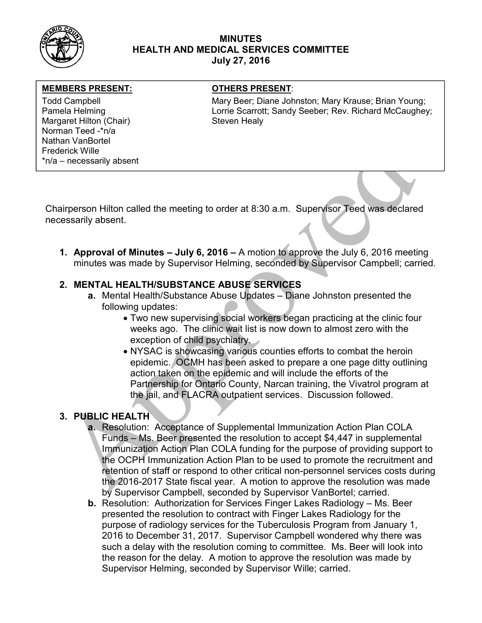

### MINUTES HEALTH AND MEDICAL SERVICES COMMITTEE July 27, 2016

### MEMBERS PRESENT: OTHERS PRESENT:

Margaret Hilton (Chair) Steven Healy Norman Teed -\*n/a Nathan VanBortel Frederick Wille \*n/a – necessarily absent

Todd Campbell **Mary Beer; Diane Johnston; Mary Krause**; Brian Young; Mary Krause; Brian Young; Pamela Helming **Lorrie Scarrott; Sandy Seeber; Rev. Richard McCaughey;** Pamela Helming

Chairperson Hilton called the meeting to order at 8:30 a.m. Supervisor Teed was declared necessarily absent.

1. Approval of Minutes – July 6, 2016 – A motion to approve the July 6, 2016 meeting minutes was made by Supervisor Helming, seconded by Supervisor Campbell; carried.

# 2. MENTAL HEALTH/SUBSTANCE ABUSE SERVICES

- a. Mental Health/Substance Abuse Updates Diane Johnston presented the following updates:
	- Two new supervising social workers began practicing at the clinic four weeks ago. The clinic wait list is now down to almost zero with the exception of child psychiatry.
	- NYSAC is showcasing various counties efforts to combat the heroin epidemic. OCMH has been asked to prepare a one page ditty outlining action taken on the epidemic and will include the efforts of the Partnership for Ontario County, Narcan training, the Vivatrol program at the jail, and FLACRA outpatient services. Discussion followed.

# 3. PUBLIC HEALTH

- a. Resolution: Acceptance of Supplemental Immunization Action Plan COLA Funds – Ms. Beer presented the resolution to accept \$4,447 in supplemental Immunization Action Plan COLA funding for the purpose of providing support to the OCPH Immunization Action Plan to be used to promote the recruitment and retention of staff or respond to other critical non-personnel services costs during the 2016-2017 State fiscal year. A motion to approve the resolution was made by Supervisor Campbell, seconded by Supervisor VanBortel; carried.
- b. Resolution: Authorization for Services Finger Lakes Radiology Ms. Beer presented the resolution to contract with Finger Lakes Radiology for the purpose of radiology services for the Tuberculosis Program from January 1, 2016 to December 31, 2017. Supervisor Campbell wondered why there was such a delay with the resolution coming to committee. Ms. Beer will look into the reason for the delay. A motion to approve the resolution was made by Supervisor Helming, seconded by Supervisor Wille; carried.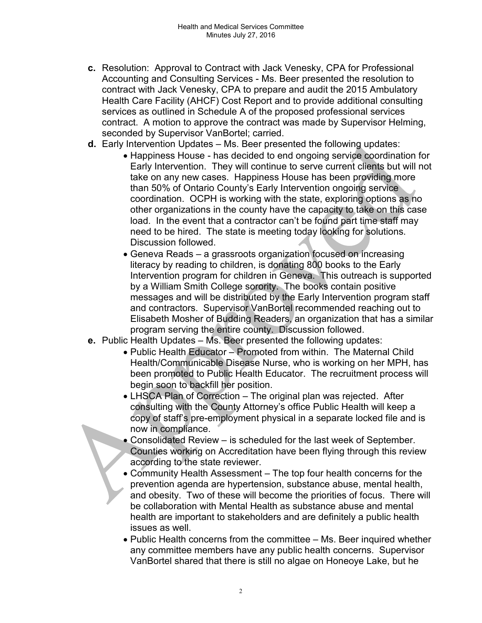- c. Resolution: Approval to Contract with Jack Venesky, CPA for Professional Accounting and Consulting Services - Ms. Beer presented the resolution to contract with Jack Venesky, CPA to prepare and audit the 2015 Ambulatory Health Care Facility (AHCF) Cost Report and to provide additional consulting services as outlined in Schedule A of the proposed professional services contract. A motion to approve the contract was made by Supervisor Helming, seconded by Supervisor VanBortel; carried.
- d. Early Intervention Updates Ms. Beer presented the following updates:
	- Happiness House has decided to end ongoing service coordination for Early Intervention. They will continue to serve current clients but will not take on any new cases. Happiness House has been providing more than 50% of Ontario County's Early Intervention ongoing service coordination. OCPH is working with the state, exploring options as no other organizations in the county have the capacity to take on this case load. In the event that a contractor can't be found part time staff may need to be hired. The state is meeting today looking for solutions. Discussion followed.
	- Geneva Reads a grassroots organization focused on increasing literacy by reading to children, is donating 800 books to the Early Intervention program for children in Geneva. This outreach is supported by a William Smith College sorority. The books contain positive messages and will be distributed by the Early Intervention program staff and contractors. Supervisor VanBortel recommended reaching out to Elisabeth Mosher of Budding Readers, an organization that has a similar program serving the entire county. Discussion followed.
- e. Public Health Updates Ms. Beer presented the following updates:
	- Public Health Educator Promoted from within. The Maternal Child Health/Communicable Disease Nurse, who is working on her MPH, has been promoted to Public Health Educator. The recruitment process will begin soon to backfill her position.
	- LHSCA Plan of Correction The original plan was rejected. After consulting with the County Attorney's office Public Health will keep a copy of staff's pre-employment physical in a separate locked file and is now in compliance.
	- Consolidated Review is scheduled for the last week of September. Counties working on Accreditation have been flying through this review according to the state reviewer.
	- Community Health Assessment The top four health concerns for the prevention agenda are hypertension, substance abuse, mental health, and obesity. Two of these will become the priorities of focus. There will be collaboration with Mental Health as substance abuse and mental health are important to stakeholders and are definitely a public health issues as well.
	- Public Health concerns from the committee Ms. Beer inquired whether any committee members have any public health concerns. Supervisor VanBortel shared that there is still no algae on Honeoye Lake, but he